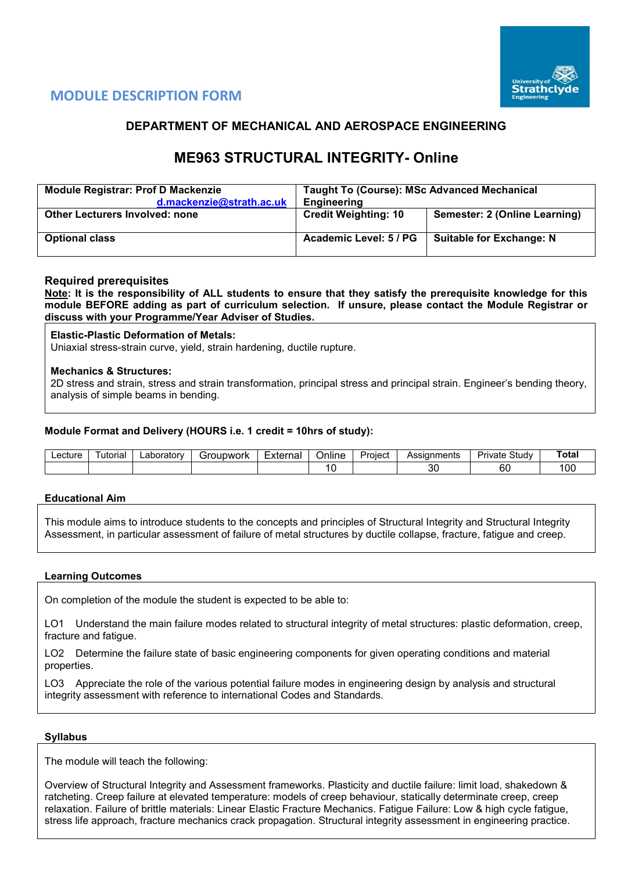

# **MODULE DESCRIPTION FORM**

## **DEPARTMENT OF MECHANICAL AND AEROSPACE ENGINEERING**

# **ME963 STRUCTURAL INTEGRITY- Online**

| <b>Module Registrar: Prof D Mackenzie</b> | <b>Taught To (Course): MSc Advanced Mechanical</b> |                                      |  |  |  |  |
|-------------------------------------------|----------------------------------------------------|--------------------------------------|--|--|--|--|
| d.mackenzie@strath.ac.uk                  | <b>Engineering</b>                                 |                                      |  |  |  |  |
| <b>Other Lecturers Involved: none</b>     | <b>Credit Weighting: 10</b>                        | <b>Semester: 2 (Online Learning)</b> |  |  |  |  |
| <b>Optional class</b>                     | Academic Level: 5 / PG                             | <b>Suitable for Exchange: N</b>      |  |  |  |  |

### **Required prerequisites**

**Note: It is the responsibility of ALL students to ensure that they satisfy the prerequisite knowledge for this module BEFORE adding as part of curriculum selection. If unsure, please contact the Module Registrar or discuss with your Programme/Year Adviser of Studies.** 

#### **Elastic-Plastic Deformation of Metals:**

Uniaxial stress-strain curve, yield, strain hardening, ductile rupture.

### **Mechanics & Structures:**

2D stress and strain, stress and strain transformation, principal stress and principal strain. Engineer's bending theory, analysis of simple beams in bending.

### **Module Format and Delivery (HOURS i.e. 1 credit = 10hrs of study):**

| ecture | utorial | ∟aboratorv | upwork<br>∍∹r∩i<br>. <u>.</u> | $\overline{\phantom{0}}$<br>External<br>ı idi | Online | Project | <b>\ssianments</b> | Study<br>'ivate<br>⊶ت | ⊺ota |
|--------|---------|------------|-------------------------------|-----------------------------------------------|--------|---------|--------------------|-----------------------|------|
|        |         |            |                               |                                               |        |         | n,<br>ບເ           | r r<br>ы              | 00   |

#### **Educational Aim**

This module aims to introduce students to the concepts and principles of Structural Integrity and Structural Integrity Assessment, in particular assessment of failure of metal structures by ductile collapse, fracture, fatigue and creep.

#### **Learning Outcomes**

On completion of the module the student is expected to be able to:

LO1 Understand the main failure modes related to structural integrity of metal structures: plastic deformation, creep, fracture and fatigue.

LO2 Determine the failure state of basic engineering components for given operating conditions and material properties.

LO3 Appreciate the role of the various potential failure modes in engineering design by analysis and structural integrity assessment with reference to international Codes and Standards.

#### **Syllabus**

The module will teach the following:

Overview of Structural Integrity and Assessment frameworks. Plasticity and ductile failure: limit load, shakedown & ratcheting. Creep failure at elevated temperature: models of creep behaviour, statically determinate creep, creep relaxation. Failure of brittle materials: Linear Elastic Fracture Mechanics. Fatigue Failure: Low & high cycle fatigue, stress life approach, fracture mechanics crack propagation. Structural integrity assessment in engineering practice.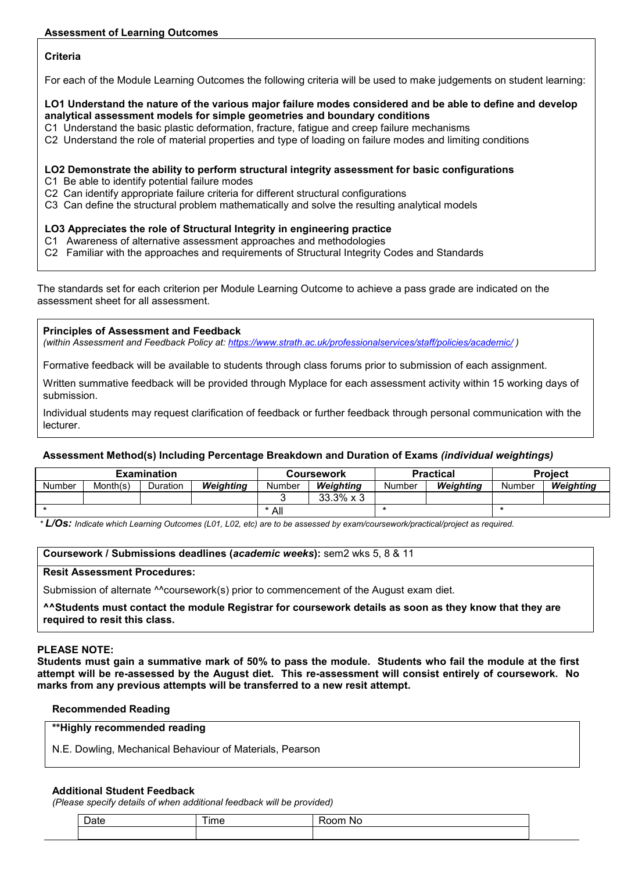## **Criteria**

For each of the Module Learning Outcomes the following criteria will be used to make judgements on student learning:

## **LO1 Understand the nature of the various major failure modes considered and be able to define and develop analytical assessment models for simple geometries and boundary conditions**

- C1 Understand the basic plastic deformation, fracture, fatigue and creep failure mechanisms
- C2 Understand the role of material properties and type of loading on failure modes and limiting conditions

## **LO2 Demonstrate the ability to perform structural integrity assessment for basic configurations**

- C1 Be able to identify potential failure modes
- C2 Can identify appropriate failure criteria for different structural configurations
- C3 Can define the structural problem mathematically and solve the resulting analytical models

## **LO3 Appreciates the role of Structural Integrity in engineering practice**

- C1 Awareness of alternative assessment approaches and methodologies
- C2 Familiar with the approaches and requirements of Structural Integrity Codes and Standards

The standards set for each criterion per Module Learning Outcome to achieve a pass grade are indicated on the assessment sheet for all assessment.

### **Principles of Assessment and Feedback**

*(within Assessment and Feedback Policy at: <https://www.strath.ac.uk/professionalservices/staff/policies/academic/> )*

Formative feedback will be available to students through class forums prior to submission of each assignment.

Written summative feedback will be provided through Myplace for each assessment activity within 15 working days of submission.

Individual students may request clarification of feedback or further feedback through personal communication with the lecturer.

## **Assessment Method(s) Including Percentage Breakdown and Duration of Exams** *(individual weightings)*

| <b>Examination</b> |          |          |           |        | Coursework        |        | <b>Practical</b> | <b>Project</b> |           |
|--------------------|----------|----------|-----------|--------|-------------------|--------|------------------|----------------|-----------|
| Number             | Month(s) | Duration | Weiahtina | Number | Weiahtina         | Number | Weiahtina        | Number         | Weiahtina |
|                    |          |          |           |        | $33.3\% \times 3$ |        |                  |                |           |
|                    |          |          | * All     |        |                   |        |                  |                |           |

*\* L/Os: Indicate which Learning Outcomes (L01, L02, etc) are to be assessed by exam/coursework/practical/project as required.*

## **Coursework / Submissions deadlines (***academic weeks***):** sem2 wks 5, 8 & 11

#### **Resit Assessment Procedures:**

Submission of alternate ^^coursework(s) prior to commencement of the August exam diet.

**^^Students must contact the module Registrar for coursework details as soon as they know that they are required to resit this class.**

## **PLEASE NOTE:**

**Students must gain a summative mark of 50% to pass the module. Students who fail the module at the first attempt will be re-assessed by the August diet. This re-assessment will consist entirely of coursework. No marks from any previous attempts will be transferred to a new resit attempt.**

## **Recommended Reading**

|  | **Highly recommended reading |  |
|--|------------------------------|--|
|--|------------------------------|--|

N.E. Dowling, Mechanical Behaviour of Materials, Pearson

#### **Additional Student Feedback**

*(Please specify details of when additional feedback will be provided)*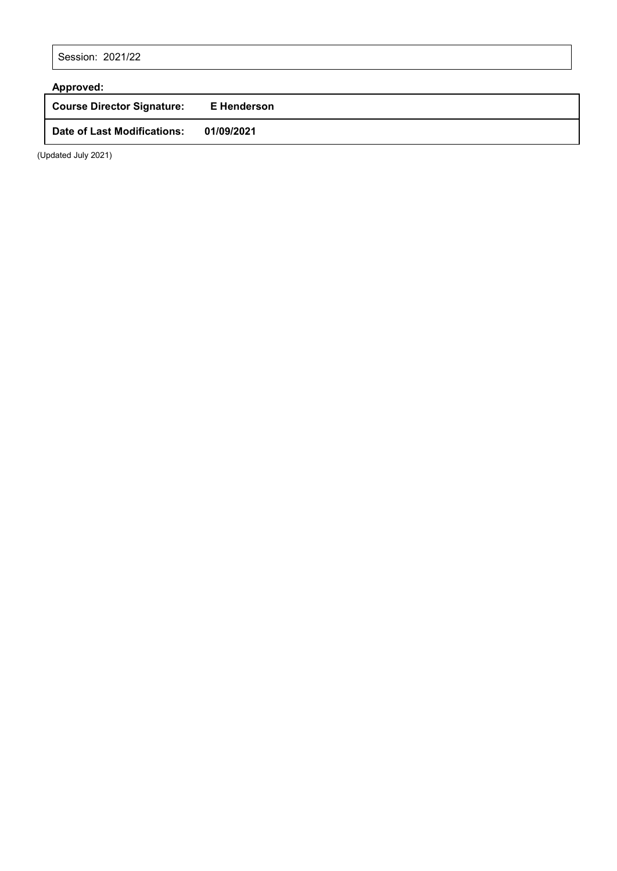Session: 2021/22

| Approved:                         |             |
|-----------------------------------|-------------|
| <b>Course Director Signature:</b> | E Henderson |
| Date of Last Modifications:       | 01/09/2021  |

(Updated July 2021)